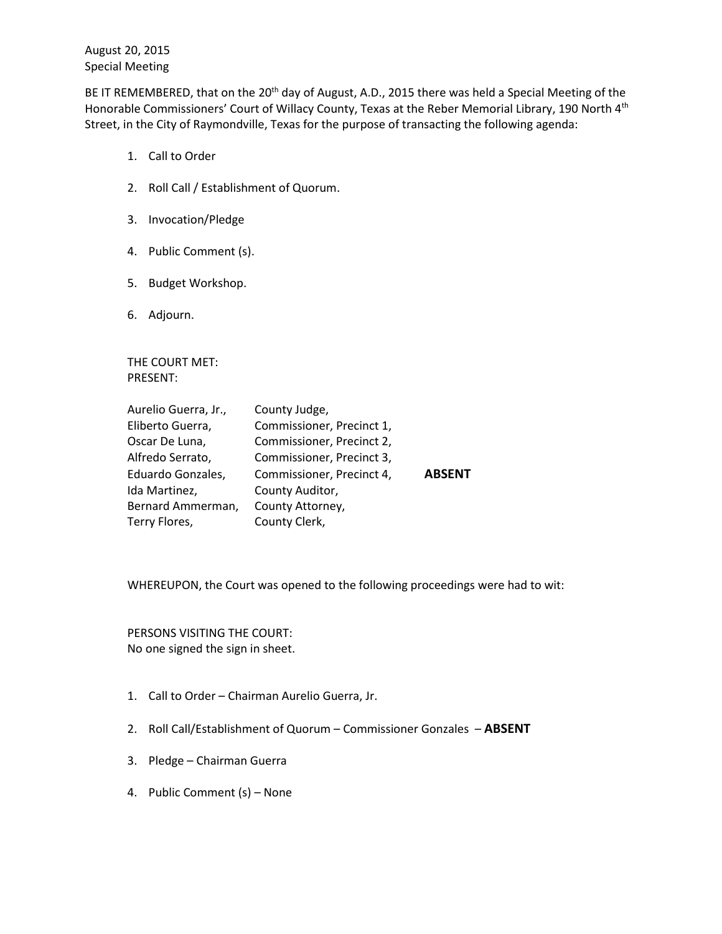August 20, 2015 Special Meeting

BE IT REMEMBERED, that on the 20<sup>th</sup> day of August, A.D., 2015 there was held a Special Meeting of the Honorable Commissioners' Court of Willacy County, Texas at the Reber Memorial Library, 190 North 4<sup>th</sup> Street, in the City of Raymondville, Texas for the purpose of transacting the following agenda:

- 1. Call to Order
- 2. Roll Call / Establishment of Quorum.
- 3. Invocation/Pledge
- 4. Public Comment (s).
- 5. Budget Workshop.
- 6. Adjourn.

THE COURT MET: PRESENT:

| Aurelio Guerra, Jr., | County Judge,             |               |
|----------------------|---------------------------|---------------|
| Eliberto Guerra,     | Commissioner, Precinct 1, |               |
| Oscar De Luna,       | Commissioner, Precinct 2, |               |
| Alfredo Serrato,     | Commissioner, Precinct 3, |               |
| Eduardo Gonzales,    | Commissioner, Precinct 4, | <b>ABSENT</b> |
| Ida Martinez,        | County Auditor,           |               |
| Bernard Ammerman,    | County Attorney,          |               |
| Terry Flores,        | County Clerk,             |               |

WHEREUPON, the Court was opened to the following proceedings were had to wit:

PERSONS VISITING THE COURT: No one signed the sign in sheet.

- 1. Call to Order Chairman Aurelio Guerra, Jr.
- 2. Roll Call/Establishment of Quorum Commissioner Gonzales **ABSENT**
- 3. Pledge Chairman Guerra
- 4. Public Comment (s) None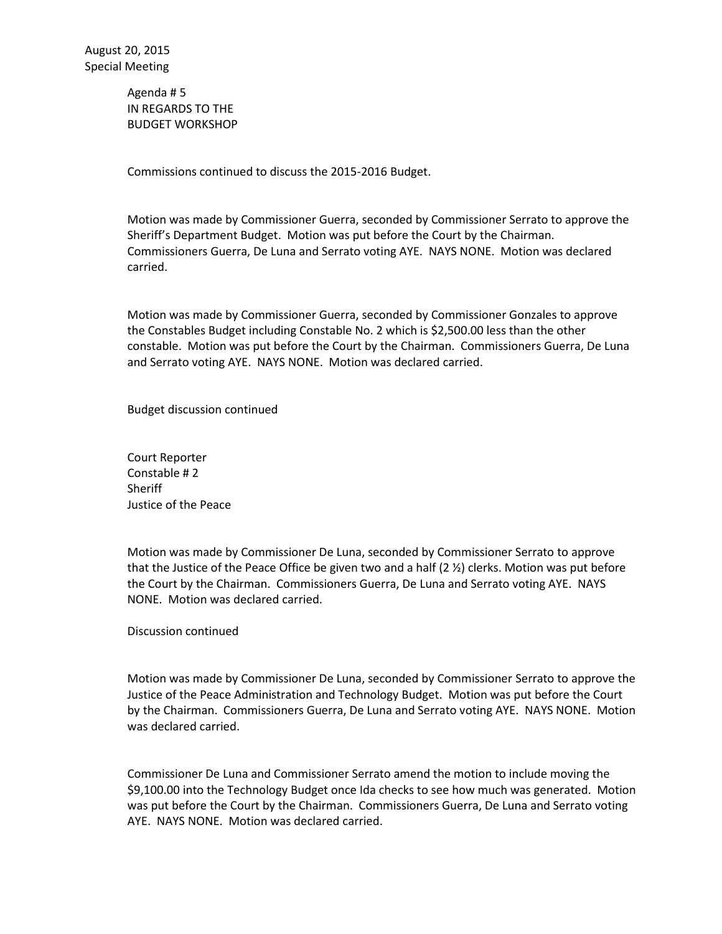Agenda # 5 IN REGARDS TO THE BUDGET WORKSHOP

Commissions continued to discuss the 2015-2016 Budget.

Motion was made by Commissioner Guerra, seconded by Commissioner Serrato to approve the Sheriff's Department Budget. Motion was put before the Court by the Chairman. Commissioners Guerra, De Luna and Serrato voting AYE. NAYS NONE. Motion was declared carried.

Motion was made by Commissioner Guerra, seconded by Commissioner Gonzales to approve the Constables Budget including Constable No. 2 which is \$2,500.00 less than the other constable. Motion was put before the Court by the Chairman. Commissioners Guerra, De Luna and Serrato voting AYE. NAYS NONE. Motion was declared carried.

Budget discussion continued

Court Reporter Constable # 2 **Sheriff** Justice of the Peace

Motion was made by Commissioner De Luna, seconded by Commissioner Serrato to approve that the Justice of the Peace Office be given two and a half  $(2 \frac{1}{2})$  clerks. Motion was put before the Court by the Chairman. Commissioners Guerra, De Luna and Serrato voting AYE. NAYS NONE. Motion was declared carried.

Discussion continued

Motion was made by Commissioner De Luna, seconded by Commissioner Serrato to approve the Justice of the Peace Administration and Technology Budget. Motion was put before the Court by the Chairman. Commissioners Guerra, De Luna and Serrato voting AYE. NAYS NONE. Motion was declared carried.

Commissioner De Luna and Commissioner Serrato amend the motion to include moving the \$9,100.00 into the Technology Budget once Ida checks to see how much was generated. Motion was put before the Court by the Chairman. Commissioners Guerra, De Luna and Serrato voting AYE. NAYS NONE. Motion was declared carried.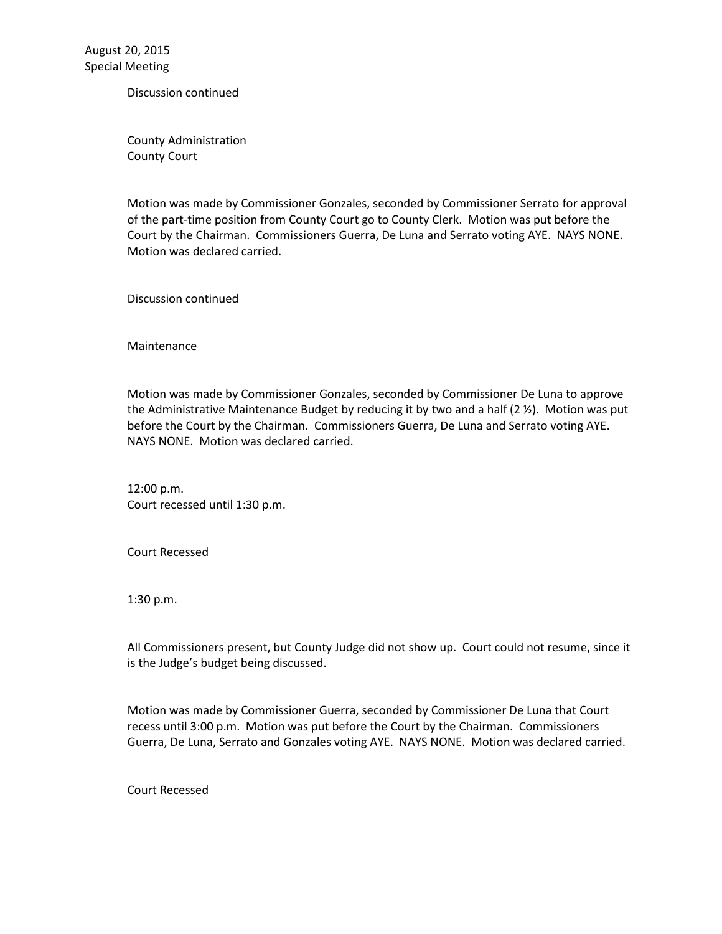August 20, 2015 Special Meeting

Discussion continued

County Administration County Court

Motion was made by Commissioner Gonzales, seconded by Commissioner Serrato for approval of the part-time position from County Court go to County Clerk. Motion was put before the Court by the Chairman. Commissioners Guerra, De Luna and Serrato voting AYE. NAYS NONE. Motion was declared carried.

Discussion continued

Maintenance

Motion was made by Commissioner Gonzales, seconded by Commissioner De Luna to approve the Administrative Maintenance Budget by reducing it by two and a half  $(2 \frac{1}{2})$ . Motion was put before the Court by the Chairman. Commissioners Guerra, De Luna and Serrato voting AYE. NAYS NONE. Motion was declared carried.

12:00 p.m. Court recessed until 1:30 p.m.

Court Recessed

1:30 p.m.

All Commissioners present, but County Judge did not show up. Court could not resume, since it is the Judge's budget being discussed.

Motion was made by Commissioner Guerra, seconded by Commissioner De Luna that Court recess until 3:00 p.m. Motion was put before the Court by the Chairman. Commissioners Guerra, De Luna, Serrato and Gonzales voting AYE. NAYS NONE. Motion was declared carried.

Court Recessed